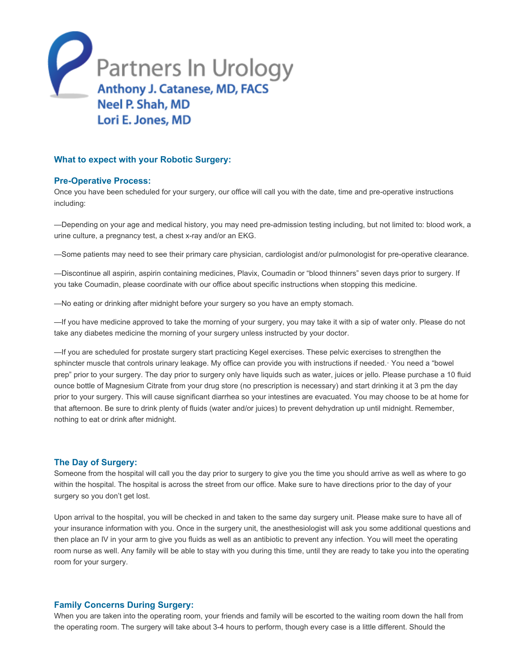

# What to expect with your Robotic Surgery:

#### **Pre-Operative Process:**

Once you have been scheduled for your surgery, our office will call you with the date, time and pre-operative instructions including:

-Depending on your age and medical history, you may need pre-admission testing including, but not limited to: blood work, a urine culture, a pregnancy test, a chest x-ray and/or an EKG.

—Some patients may need to see their primary care physician, cardiologist and/or pulmonologist for pre-operative clearance.

—Discontinue all aspirin, aspirin containing medicines, Plavix, Coumadin or "blood thinners" seven days prior to surgery. If you take Coumadin, please coordinate with our office about specific instructions when stopping this medicine.

—No eating or drinking after midnight before your surgery so you have an empty stomach.

—If you have medicine approved to take the morning of your surgery, you may take it with a sip of water only. Please do not take any diabetes medicine the morning of your surgery unless instructed by your doctor.

—If you are scheduled for prostate surgery start practicing Kegel exercises. These pelvic exercises to strengthen the sphincter muscle that controls urinary leakage. My office can provide you with instructions if needed.· You need a "bowel prep" prior to your surgery. The day prior to surgery only have liquids such as water, juices or jello. Please purchase a 10 fluid ounce bottle of Magnesium Citrate from your drug store (no prescription is necessary) and start drinking it at 3 pm the day prior to your surgery. This will cause significant diarrhea so your intestines are evacuated. You may choose to be at home for that afternoon. Be sure to drink plenty of fluids (water and/or juices) to prevent dehydration up until midnight. Remember, nothing to eat or drink after midnight.

### The Day of Surgery:

Someone from the hospital will call you the day prior to surgery to give you the time you should arrive as well as where to go within the hospital. The hospital is across the street from our office. Make sure to have directions prior to the day of your surgery so you don't get lost.

Upon arrival to the hospital, you will be checked in and taken to the same day surgery unit. Please make sure to have all of your insurance information with you. Once in the surgery unit, the anesthesiologist will ask you some additional questions and then place an IV in your arm to give you fluids as well as an antibiotic to prevent any infection. You will meet the operating room nurse as well. Any family will be able to stay with you during this time, until they are ready to take you into the operating room for your surgery.

# Family Concerns During Surgery:

When you are taken into the operating room, your friends and family will be escorted to the waiting room down the hall from the operating room. The surgery will take about 34 hours to perform, though every case is a little different. Should the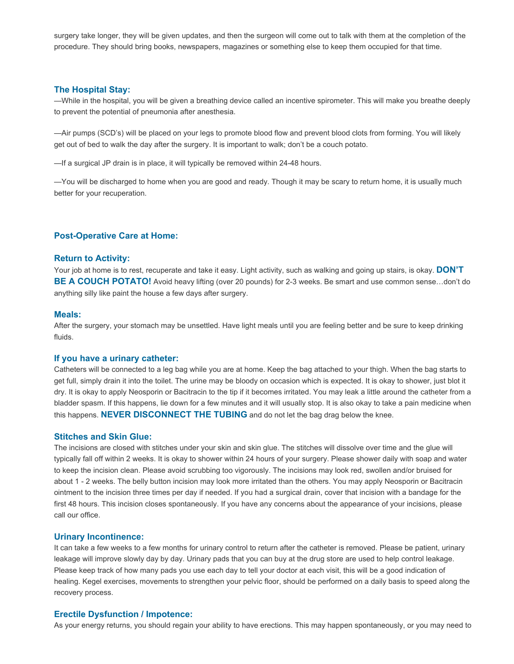surgery take longer, they will be given updates, and then the surgeon will come out to talk with them at the completion of the procedure. They should bring books, newspapers, magazines or something else to keep them occupied for that time.

## The Hospital Stay:

—While in the hospital, you will be given a breathing device called an incentive spirometer. This will make you breathe deeply to prevent the potential of pneumonia after anesthesia.

—Air pumps (SCD's) will be placed on your legs to promote blood flow and prevent blood clots from forming. You will likely get out of bed to walk the day after the surgery. It is important to walk; don't be a couch potato.

—If a surgical JP drain is in place, it will typically be removed within 2448 hours.

—You will be discharged to home when you are good and ready. Though it may be scary to return home, it is usually much better for your recuperation.

### **Post-Operative Care at Home:**

#### Return to Activity:

Your job at home is to rest, recuperate and take it easy. Light activity, such as walking and going up stairs, is okay. DON'T BE A COUCH POTATO! Avoid heavy lifting (over 20 pounds) for 2-3 weeks. Be smart and use common sense...don't do anything silly like paint the house a few days after surgery.

#### Meals:

After the surgery, your stomach may be unsettled. Have light meals until you are feeling better and be sure to keep drinking fluids.

### If you have a urinary catheter:

Catheters will be connected to a leg bag while you are at home. Keep the bag attached to your thigh. When the bag starts to get full, simply drain it into the toilet. The urine may be bloody on occasion which is expected. It is okay to shower, just blot it dry. It is okay to apply Neosporin or Bacitracin to the tip if it becomes irritated. You may leak a little around the catheter from a bladder spasm. If this happens, lie down for a few minutes and it will usually stop. It is also okay to take a pain medicine when this happens. NEVER DISCONNECT THE TUBING and do not let the bag drag below the knee.

#### Stitches and Skin Glue:

The incisions are closed with stitches under your skin and skin glue. The stitches will dissolve over time and the glue will typically fall off within 2 weeks. It is okay to shower within 24 hours of your surgery. Please shower daily with soap and water to keep the incision clean. Please avoid scrubbing too vigorously. The incisions may look red, swollen and/or bruised for about 1 - 2 weeks. The belly button incision may look more irritated than the others. You may apply Neosporin or Bacitracin ointment to the incision three times per day if needed. If you had a surgical drain, cover that incision with a bandage for the first 48 hours. This incision closes spontaneously. If you have any concerns about the appearance of your incisions, please call our office.

## Urinary Incontinence:

It can take a few weeks to a few months for urinary control to return after the catheter is removed. Please be patient, urinary leakage will improve slowly day by day. Urinary pads that you can buy at the drug store are used to help control leakage. Please keep track of how many pads you use each day to tell your doctor at each visit, this will be a good indication of healing. Kegel exercises, movements to strengthen your pelvic floor, should be performed on a daily basis to speed along the recovery process.

#### Erectile Dysfunction / Impotence:

As your energy returns, you should regain your ability to have erections. This may happen spontaneously, or you may need to